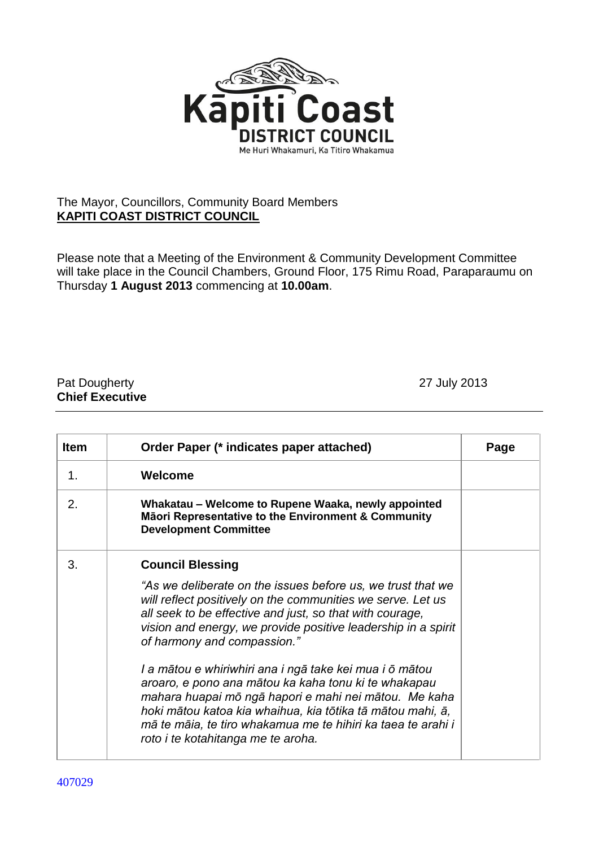

## The Mayor, Councillors, Community Board Members **KAPITI COAST DISTRICT COUNCIL**

Please note that a Meeting of the Environment & Community Development Committee will take place in the Council Chambers, Ground Floor, 175 Rimu Road, Paraparaumu on Thursday **1 August 2013** commencing at **10.00am**.

## Pat Dougherty 27 July 2013 **Chief Executive**

| <b>Item</b>    | Order Paper (* indicates paper attached)                                                                                                                                                                                                                                                                                                     | Page |
|----------------|----------------------------------------------------------------------------------------------------------------------------------------------------------------------------------------------------------------------------------------------------------------------------------------------------------------------------------------------|------|
| 1 <sub>1</sub> | Welcome                                                                                                                                                                                                                                                                                                                                      |      |
| 2.             | Whakatau – Welcome to Rupene Waaka, newly appointed<br>Māori Representative to the Environment & Community<br><b>Development Committee</b>                                                                                                                                                                                                   |      |
| 3.             | <b>Council Blessing</b>                                                                                                                                                                                                                                                                                                                      |      |
|                | "As we deliberate on the issues before us, we trust that we<br>will reflect positively on the communities we serve. Let us<br>all seek to be effective and just, so that with courage,<br>vision and energy, we provide positive leadership in a spirit<br>of harmony and compassion."                                                       |      |
|                | I a mātou e whiriwhiri ana i ngā take kei mua i ō mātou<br>aroaro, e pono ana mātou ka kaha tonu ki te whakapau<br>mahara huapai mō ngā hapori e mahi nei mātou. Me kaha<br>hoki mātou katoa kia whaihua, kia tōtika tā mātou mahi, ā,<br>mā te māia, te tiro whakamua me te hihiri ka taea te arahi i<br>roto i te kotahitanga me te aroha. |      |